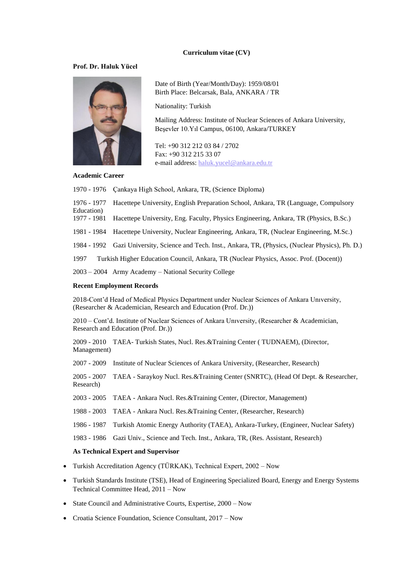#### **Curriculum vitae (CV)**

#### **Prof. Dr. Haluk Yücel**



Date of Birth (Year/Month/Day): 1959/08/01 Birth Place: Belcarsak, Bala, ANKARA / TR

Nationality: Turkish

Mailing Address: Institute of Nuclear Sciences of Ankara University, Beşevler 10.Yıl Campus, 06100, Ankara/TURKEY

Tel: +90 312 212 03 84 / 2702 Fax: +90 312 215 33 07 e-mail address: [haluk.yucel@ankara.edu.tr](mailto:haluk.yucel@ankara.edu.tr)

#### **Academic Career**

1970 - 1976 Çankaya High School, Ankara, TR, (Science Diploma)

1976 - 1977 Hacettepe University, English Preparation School, Ankara, TR (Language, Compulsory Education)

1977 - 1981 Hacettepe University, Eng. Faculty, Physics Engineering, Ankara, TR (Physics, B.Sc.)

1981 - 1984 Hacettepe University, Nuclear Engineering, Ankara, TR, (Nuclear Engineering, M.Sc.)

1984 - 1992 Gazi University, Science and Tech. Inst., Ankara, TR, (Physics, (Nuclear Physics), Ph. D.)

1997 Turkish Higher Education Council, Ankara, TR (Nuclear Physics, Assoc. Prof. (Docent))

2003 – 2004 Army Academy – National Security College

#### **Recent Employment Records**

2018-Cont'd Head of Medical Physics Department under Nuclear Sciences of Ankara Unıversity, (Researcher & Academician, Research and Education (Prof. Dr.))

2010 – Cont'd. Institute of Nuclear Sciences of Ankara Unıversity, (Researcher & Academician, Research and Education (Prof. Dr.))

2009 - 2010 TAEA- Turkish States, Nucl. Res.&Training Center ( TUDNAEM), (Director, Management)

2007 - 2009 Institute of Nuclear Sciences of Ankara University, (Researcher, Research)

2005 - 2007 TAEA - Saraykoy Nucl. Res.&Training Center (SNRTC), (Head Of Dept. & Researcher, Research)

2003 - 2005 TAEA - Ankara Nucl. Res.&Training Center, (Director, Management)

1988 - 2003 TAEA - Ankara Nucl. Res.&Training Center, (Researcher, Research)

1986 - 1987 Turkish Atomic Energy Authority (TAEA), Ankara-Turkey, (Engineer, Nuclear Safety)

1983 - 1986 Gazi Univ., Science and Tech. Inst., Ankara, TR, (Res. Assistant, Research)

#### **As Technical Expert and Supervisor**

- Turkish Accreditation Agency (TÜRKAK), Technical Expert, 2002 Now
- Turkish Standards Institute (TSE), Head of Engineering Specialized Board, Energy and Energy Systems Technical Committee Head, 2011 – Now
- [State Council](http://tureng.com/tr/turkce-ingilizce/state%20council) and [Administrative Courts](http://tureng.com/tr/turkce-ingilizce/administrative%20court), [Expertise,](http://tureng.com/tr/turkce-ingilizce/expertise) 2000 Now
- Croatia Science Foundation, Science Consultant, 2017 Now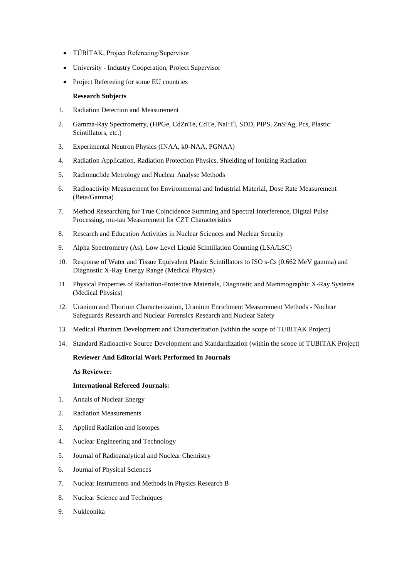- TÜBİTAK, Project Refereeing/Supervisor
- University Industry Cooperation, Project Supervisor
- Project Refereeing for some EU countries

#### **Research Subjects**

- 1. Radiation Detection and Measurement
- 2. Gamma-Ray Spectrometry, (HPGe, CdZnTe, CdTe, NaI:Tl, SDD, PIPS, ZnS:Ag, Pcs, Plastic Scintillators, etc.)
- 3. Experimental Neutron Physics (INAA, k0-NAA, PGNAA)
- 4. Radiation Application, Radiation Protection Physics, Shielding of Ionizing Radiation
- 5. Radionuclide Metrology and Nuclear Analyse Methods
- 6. Radioactivity Measurement for Environmental and Industrial Material, Dose Rate Measurement (Beta/Gamma)
- 7. Method Researching for True Coincidence Summing and Spectral Interference, Digital Pulse Processing, mu-tau Measurement for CZT Characteristics
- 8. Research and Education Activities in Nuclear Sciences and Nuclear Security
- 9. Alpha Spectrometry (As), Low Level Liquid Scintillation Counting (LSA/LSC)
- 10. Response of Water and Tissue Equivalent Plastic Scintillators to ISO s-Cs (0.662 MeV gamma) and Diagnostic X-Ray Energy Range (Medical Physics)
- 11. Physical Properties of Radiation-Protective Materials, Diagnostic and Mammographic X-Ray Systems (Medical Physics)
- 12. Uranium and Thorium Characterization, Uranium Enrichment Measurement Methods Nuclear Safeguards Research and Nuclear Forensics Research and Nuclear Safety
- 13. Medical Phantom Development and Characterization (within the scope of TUBITAK Project)
- 14. Standard Radioactive Source Development and Standardization (within the scope of TUBITAK Project)

### **Reviewer And Editorial Work Performed In Journals**

**As Reviewer:**

### **International Refereed Journals:**

- 1. Annals of Nuclear Energy
- 2. Radiation Measurements
- 3. Applied Radiation and Isotopes
- 4. Nuclear Engineering and Technology
- 5. Journal of Radioanalytical and Nuclear Chemistry
- 6. Journal of Physical Sciences
- 7. Nuclear Instruments and Methods in Physics Research B
- 8. Nuclear Science and Techniques
- 9. Nukleonika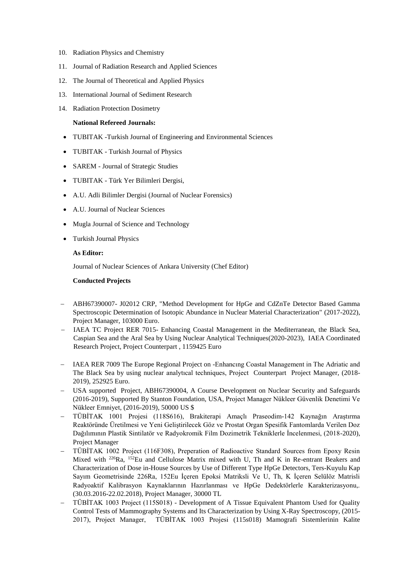- 10. Radiation Physics and Chemistry
- 11. Journal of Radiation Research and Applied Sciences
- 12. The Journal of Theoretical and Applied Physics
- 13. International Journal of Sediment Research
- 14. Radiation Protection Dosimetry

### **National Refereed Journals:**

- TUBITAK -Turkish Journal of Engineering and Environmental Sciences
- TUBITAK Turkish Journal of Physics
- SAREM Journal of Strategic Studies
- TUBITAK Türk Yer Bilimleri Dergisi,
- A.U. Adli Bilimler Dergisi (Journal of Nuclear Forensics)
- A.U. Journal of Nuclear Sciences
- Mugla Journal of Science and Technology
- Turkish Journal Physics

### **As Editor:**

Journal of Nuclear Sciences of Ankara University (Chef Editor)

### **Conducted Projects**

- ABH67390007- J02012 CRP, "Method Development for HpGe and CdZnTe Detector Based Gamma Spectroscopic Determination of Isotopic Abundance in Nuclear Material Characterization" (2017-2022), Project Manager, 103000 Euro.
- IAEA TC Project RER 7015- Enhancing Coastal Management in the Mediterranean, the Black Sea, Caspian Sea and the Aral Sea by Using Nuclear Analytical Techniques(2020-2023), IAEA Coordinated Research Project, Project Counterpart , 1159425 Euro
- IAEA RER 7009 The Europe Regional Project on -Enhancıng Coastal Management in The Adriatic and The Black Sea by using nuclear analytıcal techniques, Project Counterpart Project Manager, (2018- 2019), 252925 Euro.
- USA supported Project, ABH67390004, A Course Development on Nuclear Security and Safeguards (2016-2019), Supported By Stanton Foundation, USA, Project Manager Nükleer Güvenlik Denetimi Ve Nükleer Emniyet, (2016-2019), 50000 US \$
- TÜBİTAK 1001 Projesi (118S616), Brakiterapi Amaçlı Praseodim-142 Kaynağın Araştırma Reaktöründe Üretilmesi ve Yeni Geliştirilecek Göz ve Prostat Organ Spesifik Fantomlarda Verilen Doz Dağılımının Plastik Sintilatör ve Radyokromik Film Dozimetrik Tekniklerle İncelenmesi, (2018-2020), Project Manager
- TÜBİTAK 1002 Project (116F308), Preperation of Radioactive Standard Sources from Epoxy Resin Mixed with <sup>226</sup>Ra, <sup>152</sup>Eu and Cellulose Matrix mixed with U, Th and K in Re-entrant Beakers and Characterization of Dose in-House Sources by Use of Different Type HpGe Detectors, Ters-Kuyulu Kap Sayım Geometrisinde 226Ra, 152Eu İçeren Epoksi Matriksli Ve U, Th, K İçeren Selülöz Matrisli Radyoaktif Kalibrasyon Kaynaklarının Hazırlanması ve HpGe Dedektörlerle Karakterizasyonu,. (30.03.2016-22.02.2018), Project Manager, 30000 TL
- TÜBİTAK 1003 Project (115S018) Development of A Tissue Equivalent Phantom Used for Quality Control Tests of Mammography Systems and Its Characterization by Using X-Ray Spectroscopy, (2015- 2017), Project Manager, TÜBİTAK 1003 Projesi (115s018) Mamografi Sistemlerinin Kalite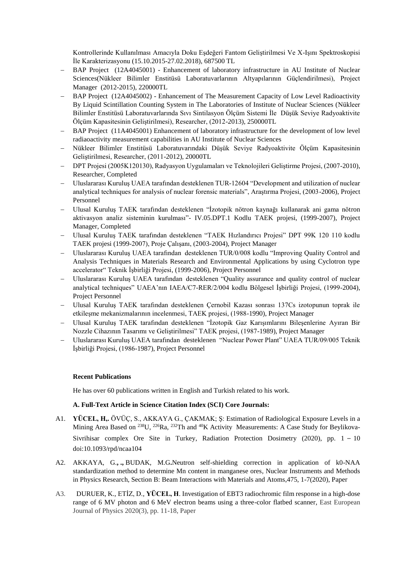Kontrollerinde Kullanılması Amacıyla Doku Eşdeğeri Fantom Geliştirilmesi Ve X-Işını Spektroskopisi İle Karakterizasyonu (15.10.2015-27.02.2018), 687500 TL

- BAP Project (12A4045001) Enhancement of laboratory infrastructure in AU Institute of Nuclear Sciences(Nükleer Bilimler Enstitüsü Laboratuvarlarının Altyapılarının Güçlendirilmesi), Project Manager (2012-2015), 220000TL
- BAP Project (12A4045002) Enhancement of The Measurement Capacity of Low Level Radioactivity By Liquid Scintillation Counting System in The Laboratories of Institute of Nuclear Sciences (Nükleer Bilimler Enstitüsü Laboratuvarlarında Sıvı Sintilasyon Ölçüm Sistemi İle Düşük Seviye Radyoaktivite Ölçüm Kapasitesinin Geliştirilmesi), Researcher, (2012-2013), 250000TL
- BAP Project (11A4045001) Enhancement of laboratory infrastructure for the development of low level radiaoactivity measurement capabilities in AU Institute of Nuclear Sciences
- Nükleer Bilimler Enstitüsü Laboratuvarındaki Düşük Seviye Radyoaktivite Ölçüm Kapasitesinin Geliştirilmesi, Researcher, (2011-2012), 20000TL
- DPT Projesi (2005K120130), Radyasyon Uygulamaları ve Teknolojileri Geliştirme Projesi, (2007-2010), Researcher, Completed
- Uluslararası Kuruluş UAEA tarafından desteklenen TUR-12604 "Development and utilization of nuclear analytical techniques for analysis of nuclear forensic materials", Araştırma Projesi, (2003-2006), Project Personnel
- Ulusal Kuruluş TAEK tarafından desteklenen "İzotopik nötron kaynağı kullanarak ani gama nötron aktivasyon analiz sisteminin kurulması"- IV.05.DPT.1 Kodlu TAEK projesi, (1999-2007), Project Manager, Completed
- Ulusal Kuruluş TAEK tarafından desteklenen "TAEK Hızlandırıcı Projesi" DPT 99K 120 110 kodlu TAEK projesi (1999-2007), Proje Çalışanı, (2003-2004), Project Manager
- Uluslararası Kuruluş UAEA tarafından desteklenen TUR/0/008 kodlu "Improving Quality Control and Analysis Techniques in Materials Research and Environmental Applications by using Cyclotron type accelerator" Teknik İşbirliği Projesi, (1999-2006), Project Personnel
- Uluslararası Kuruluş UAEA tarafından desteklenen "Quality assurance and quality control of nuclear analytical techniques" UAEA'nın IAEA/C7-RER/2/004 kodlu Bölgesel İşbirliği Projesi, (1999-2004), Project Personnel
- Ulusal Kuruluş TAEK tarafından desteklenen Çernobil Kazası sonrası 137Cs izotopunun toprak ile etkileşme mekanizmalarının incelenmesi, TAEK projesi, (1988-1990), Project Manager
- Ulusal Kuruluş TAEK tarafından desteklenen "İzotopik Gaz Karışımlarını Bileşenlerine Ayıran Bir Nozzle Cihazının Tasarımı ve Geliştirilmesi" TAEK projesi, (1987-1989), Project Manager
- Uluslararası Kuruluş UAEA tarafından desteklenen "Nuclear Power Plant" UAEA TUR/09/005 Teknik İşbirliği Projesi, (1986-1987), Project Personnel

### **Recent Publications**

He has over 60 publications written in English and Turkish related to his work.

### **A. Full-Text Article in Science Citation Index (SCI) Core Journals:**

- A1. **YÜCEL, H,.** ÖVÜÇ, S., AKKAYA G., ÇAKMAK; Ş: Estimation of Radiological Exposure Levels in a Mining Area Based on <sup>238</sup>U, <sup>226</sup>Ra, <sup>232</sup>Th and <sup>40</sup>K Activity Measurements: A Case Study for Beylikova-Sivrihisar complex Ore Site in Turkey, Radiation Protection Dosimetry (2020), pp. 1 – 10 doi:10.1093/rpd/ncaa104
- A2. [AKKAYA, G.](https://www.scopus.com/authid/detail.uri?origin=AuthorProfile&authorId=18036694200&zone=)**, [.,](https://www.scopus.com/authid/detail.uri?origin=AuthorProfile&authorId=7003421943&zone=)** [BUDAK, M.G](https://www.scopus.com/authid/detail.uri?origin=AuthorProfile&authorId=22133500300&zone=)**.**[Neutron self-shielding correction in application of k0-NAA](https://www.scopus.com/authid/detail.uri?origin=AuthorProfile&authorId=22133500300&zone=)  [standardization method to determine Mn content in manganese ores, Nuclear Instruments and Methods](https://www.scopus.com/record/display.uri?eid=2-s2.0-85083875132&origin=resultslist&sort=plf-f&src=s&st1=Y%c3%bccel&st2=Haluk&nlo=1&nlr=20&nls=count-f&sid=cd62f367559134b95ced75087bbf6727&sot=anl&sdt=aut&sl=32&s=AU-ID%28%22Y%3fcel%2c+Haluk%22+7003421943%29&relpos=0&citeCnt=0&searchTerm=)  [in Physics Research, Section B: Beam Interactions with Materials and Atoms,4](https://www.scopus.com/sourceid/29068?origin=resultslist)75, 1-7(2020), Paper
- A3. [DURUER, K.,](https://www.scopus.com/authid/detail.uri?origin=resultslist&authorId=57218542066&zone=) [ETİZ, D.,](https://www.scopus.com/authid/detail.uri?origin=resultslist&authorId=6602881394&zone=) **[YÜCEL, H](https://www.scopus.com/authid/detail.uri?origin=resultslist&authorId=7003421943&zone=)**. [Investigation of EBT3 radiochromic film response in a high-dose](https://www.scopus.com/record/display.uri?eid=2-s2.0-85089538816&origin=resultslist&sort=plf-f&src=s&st1=Y%c3%bccel&st2=Haluk&nlo=1&nlr=20&nls=count-f&sid=b651c14706bfb00dd01cf8382e5d5bf6&sot=anl&sdt=aut&sl=32&s=AU-ID%28%22Y%3fcel%2c+Haluk%22+7003421943%29&relpos=3&citeCnt=0&searchTerm=)  [range of 6 MV photon and 6 MeV electron beams using a three-color flatbed scanner,](https://www.scopus.com/record/display.uri?eid=2-s2.0-85089538816&origin=resultslist&sort=plf-f&src=s&st1=Y%c3%bccel&st2=Haluk&nlo=1&nlr=20&nls=count-f&sid=b651c14706bfb00dd01cf8382e5d5bf6&sot=anl&sdt=aut&sl=32&s=AU-ID%28%22Y%3fcel%2c+Haluk%22+7003421943%29&relpos=3&citeCnt=0&searchTerm=) East European Journal of Physics 2020(3), pp. 11-18, Paper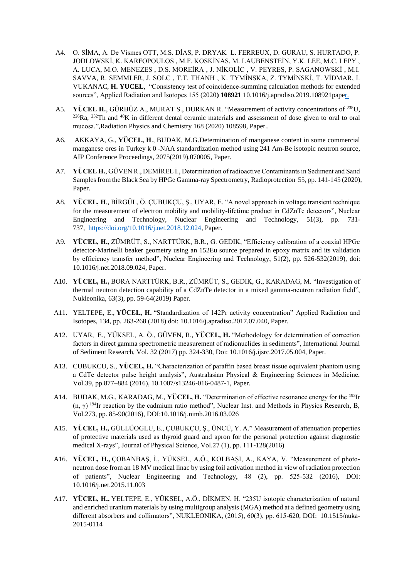- A4. O. SİMA, A. De Vismes OTT, M.S. DİAS, P. DRYAK L. FERREUX, D. GURAU, S. HURTADO, P. JODLOWSKİ, K. KARFOPOULOS , M.F. KOSKİNAS, M. LAUBENSTEİN, Y.K. LEE, M.C. LEPY , A. LUCA, M.O. MENEZES , D.S. MOREİRA , J. NİKOLİC , V. PEYRES, P. SAGANOWSKİ , M.I. SAVVA, R. SEMMLER, J. SOLC , T.T. THANH , K. TYMİNSKA, Z. TYMİNSKİ, T. VİDMAR, I. VUKANAC, **H. YUCEL**, "Consistency test of coincidence-summing calculation methods for extended sources", Applied Radiation and Isotopes 155 (2020**) 108921** [10.1016/j.apradiso.2019.108921p](https://doi.org/10.1016/j.apradiso.2019.108921)aper.
- A5. **YÜCEL H.**, GÜRBÜZ A., MURAT S., DURKAN R. "Measurement of activity concentrations of <sup>238</sup>U, <sup>226</sup>Ra, <sup>232</sup>Th and <sup>40</sup>K in different dental ceramic materials and assessment of dose given to oral to oral mucosa.",Radiation Physics and Chemistry 168 (2020) 108598, Paper..
- A6. [AKKAYA, G.,](https://www.scopus.com/authid/detail.uri?origin=AuthorProfile&authorId=18036694200&zone=) **[YÜCEL, H](https://www.scopus.com/authid/detail.uri?origin=AuthorProfile&authorId=7003421943&zone=)**., [BUDAK, M.G.Determination of manganese content in some commercial](https://www.scopus.com/authid/detail.uri?origin=AuthorProfile&authorId=22133500300&zone=)  manganese ores in Turkey k 0 [-NAA standardization method using](https://www.scopus.com/record/display.uri?eid=2-s2.0-85062839764&origin=resultslist&sort=plf-f&src=s&sid=c8ba7db86de09d0af62c3ab052d61455&sot=autdocs&sdt=autdocs&sl=18&s=AU-ID%2818036694200%29&relpos=1&citeCnt=1&searchTerm=) 241 Am-Be isotopic neutron source, [AIP Conference Proceedings,](https://www.scopus.com/sourceid/26916?origin=resultslist) 2075(2019),070005, Paper.
- A7. **YÜCEL H.**, GÜVEN R., DEMİREL İ., Determination of radioactive Contaminants in Sediment and Sand Samples from the Black Sea by HPGe Gamma-ray Spectrometry, Radioprotection 55, pp. 141-145 (2020), Paper.
- A8. **YÜCEL, H**., BİRGÜL, Ö. ÇUBUKÇU, Ş., UYAR, E. "A novel approach in voltage transient technique for the measurement of electron mobility and mobility-lifetime product in CdZnTe detectors", Nuclear Engineering and Technology, [Nuclear Engineering and Technology,](https://www.scopus.com/sourceid/11700154337?origin=resultslist) 51(3), pp. 731- 737, [https://doi.org/10.1016/j.net.2018.12.024,](https://doi.org/10.1016/j.net.2018.12.024) Paper.
- A9. **YÜCEL, H.,** ZÜMRÜT, S., NARTTÜRK, B.R., G. GEDIK, "Efficiency calibration of a coaxial HPGe detector-Marinelli beaker geometry using an 152Eu source prepared in epoxy matrix and its validation by efficiency transfer method", Nuclear Engineering and Technology, 51(2), pp. 526-532(2019), doi: 10.1016/j.net.2018.09.024, Paper.
- A10. **YÜCEL, H.,** BORA NARTTÜRK, B.R., ZÜMRÜT, S., GEDIK, G., KARADAG, M. "Investigation of thermal neutron detection capability of a CdZnTe detector in a mixed gamma-neutron radiation field", Nukleonika, 63(3), pp. 59-64(2019) Paper.
- A11. YELTEPE, E., **YÜCEL, H.** "Standardization of 142Pr activity concentration" Applied Radiation and Isotopes, 134, pp. 263-268 (2018) doi: 10.1016/j.apradiso.2017.07.040, Paper.
- A12. UYAR, E., YÜKSEL, A. Ö., GÜVEN, R., **YÜCEL, H.** "Methodology for determination of correction factors in direct gamma spectrometric measurement of radionuclides in sediments", International Journal of Sediment Research, Vol. 32 (2017) pp. 324-330, Doi: 10.1016/j.ijsrc.2017.05.004, Paper.
- A13. CUBUKCU, S., **YÜCEL, H.** "Characterization of paraffin based breast tissue equivalent phantom using a CdTe detector pulse height analysis", Australasian Physical & Engineering Sciences in Medicine, Vol.39, pp.877–884 (2016), 10.1007/s13246-016-0487-1, Paper.
- A14. BUDAK, M.G., KARADAG, M., **YÜCEL, H.** "Determination of effective resonance energy for the <sup>193</sup>Ir (n, γ) <sup>194</sup>Ir reaction by the cadmium ratio method", Nuclear Inst. and Methods in Physics Research, B, Vol.273, pp. 85-90(2016), DOI:10.1016/j.nimb.2016.03.026
- A15. **YÜCEL, H.,** GÜLLÜOGLU, E., ÇUBUKÇU, Ş., ÜNCÜ, Y. A." Measurement of attenuation properties of protective materials used as thyroid guard and apron for the personal protection against diagnostic medical X-rays", Journal of Physical Science, Vol.27 (1), pp. 111-128(2016)
- A16. **YÜCEL, H.,** ÇOBANBAŞ, İ., YÜKSEL, A.Ö., KOLBAŞI, A., KAYA, V. "Measurement of photoneutron dose from an 18 MV medical linac by using foil activation method in view of radiation protection of patients", Nuclear Engineering and Technology, 48 (2), pp. 525-532 (2016), DOI: 10.1016/j.net.2015.11.003
- A17. **YÜCEL, H.,** YELTEPE, E., YÜKSEL, A.Ö., DİKMEN, H. "235U isotopic characterization of natural and enriched uranium materials by using multigroup analysis (MGA) method at a defined geometry using different absorbers and collimators", NUKLEONIKA, (2015), 60(3), pp. 615-620, DOI: 10.1515/nuka-2015-0114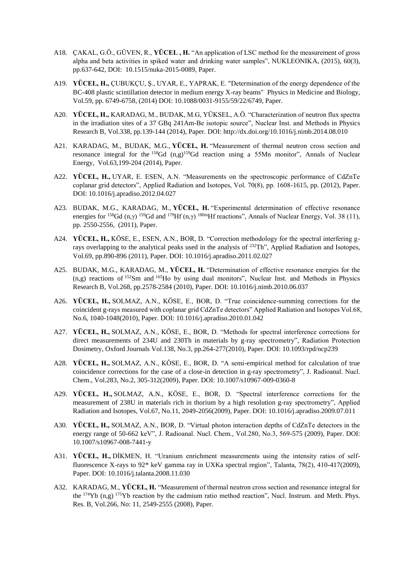- A18. ÇAKAL, G.Ö., GÜVEN, R., **YÜCEL , H.** "An application of LSC method for the measurement of gross alpha and beta activities in spiked water and drinking water samples", NUKLEONIKA, (2015), 60(3), pp.637-642, DOI: 10.1515/nuka-2015-0089, Paper.
- A19. **YÜCEL, H.,** ÇUBUKÇU, Ş., UYAR, E., YAPRAK, E. "Determination of the energy dependence of the BC-408 plastic scintillation detector in medium energy X-ray beams" Physics in Medicine and Biology, Vol.59, pp. 6749-6758, (2014) DOI: 10.1088/0031-9155/59/22/6749, Paper.
- A20. **YÜCEL, H.,** KARADAG, M., BUDAK, M.G, YÜKSEL, A.Ö. "Characterization of neutron flux spectra in the irradiation sites of a 37 GBq 241Am-Be isotopic source", Nuclear Inst. and Methods in Physics Research B, Vol.338, pp.139-144 (2014), Paper. DOI: http://dx.doi.org/10.1016/j.nimb.2014.08.010
- A21. KARADAG, M., BUDAK, M.G., **YÜCEL, H.** "Measurement of thermal neutron cross section and resonance integral for the  $158Gd$  (n,g)<sup>159</sup>Gd reaction using a 55Mn monitor", Annals of Nuclear Energy, Vol.63,199-204 (2014), Paper.
- A22. **YÜCEL, H.,** UYAR, E. ESEN, A.N. "Measurements on the spectroscopic performance of CdZnTe coplanar grid detectors", Applied Radiation and Isotopes, Vol. 70(8), pp. 1608-1615, pp. (2012), Paper. DOI: 10.1016/j.apradiso.2012.04.027
- A23. BUDAK, M.G., KARADAG, M., **YÜCEL, H.** "Experimental determination of effective resonance energies for <sup>158</sup>Gd (n,γ) <sup>159</sup>Gd and <sup>179</sup>Hf (n,γ) <sup>180m</sup>Hf reactions", Annals of Nuclear Energy, Vol. 38 (11), pp. 2550-2556, (2011), Paper.
- A24. **YÜCEL, H.,** KÖSE, E., ESEN, A.N., BOR, D. "Correction methodology for the spectral interfering grays overlapping to the analytical peaks used in the analysis of <sup>232</sup>Th", Applied Radiation and Isotopes, Vol.69, pp.890-896 (2011), Paper. DOI: 10.1016/j.apradiso.2011.02.027
- A25. BUDAK, M.G., KARADAG, M., **YÜCEL, H.** "Determination of effective resonance energies for the (n,g) reactions of <sup>152</sup>Sm and <sup>165</sup>Ho by using dual monitors", Nuclear Inst. and Methods in Physics Research B, Vol.268, pp.2578-2584 (2010), Paper. DOI: 10.1016/j.nimb.2010.06.037
- A26. **YÜCEL, H.,** SOLMAZ, A.N., KÖSE, E., BOR, D. "True coincidence-summing corrections for the coincident g-rays measured with coplanar grid CdZnTe detectors" Applied Radiation and Isotopes Vol.68, No.6, 1040-1048(2010), Paper. DOI: 10.1016/j.apradiso.2010.01.042
- A27. **YÜCEL, H.,** SOLMAZ, A.N., KÖSE, E., BOR, D. "Methods for spectral interference corrections for direct measurements of 234U and 230Th in materials by g-ray spectrometry", Radiation Protection Dosimetry, Oxford Journals Vol.138, No.3, pp.264-277(2010), Paper. DOI: 10.1093/rpd/ncp239
- A28. **YÜCEL, H.,** SOLMAZ, A.N., KÖSE, E., BOR, D. "A semi-empirical method for calculation of true coincidence corrections for the case of a close-in detection in g-ray spectrometry", J. Radioanal. Nucl. Chem., Vol.283, No.2, 305-312(2009), Paper. DOI: 10.1007/s10967-009-0360-8
- A29. **YÜCEL, H.,** SOLMAZ, A.N., KÖSE, E., BOR, D. "Spectral interference corrections for the measurement of 238U in materials rich in thorium by a high resolution g-ray spectrometry", Applied Radiation and Isotopes, Vol.67, No.11, 2049-2056(2009), Paper. DOI: 10.1016/j.apradiso.2009.07.011
- A30. **YÜCEL, H.,** SOLMAZ, A.N., BOR, D. "Virtual photon interaction depths of CdZnTe detectors in the energy range of 50-662 keV", J. Radioanal. Nucl. Chem., Vol.280, No.3, 569-575 (2009), Paper. DOI: 10.1007/s10967-008-7441-y
- A31. **YÜCEL, H.,** DİKMEN, H. "Uranium enrichment measurements using the intensity ratios of selffluorescence X-rays to 92\* keV gamma ray in UXKa spectral region", Talanta, 78(2), 410-417(2009), Paper. DOI: 10.1016/j.talanta.2008.11.030
- A32. KARADAG, M., **YÜCEL, H.** "Measurement of thermal neutron cross section and resonance integral for the <sup>174</sup>Yb (n,g) <sup>175</sup>Yb reaction by the cadmium ratio method reaction", Nucl. Instrum. and Meth. Phys. Res. B, Vol.266, No: 11, 2549-2555 (2008), Paper.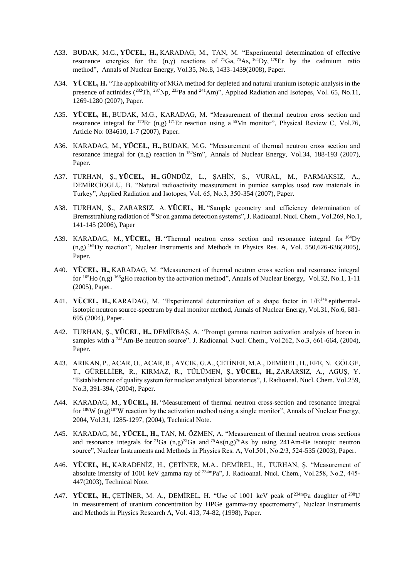- A33. BUDAK, M.G., **YÜCEL, H.,** KARADAG, M., TAN, M. "Experimental determination of effective resonance energies for the (n,γ) reactions of  $^{71}Ga$ ,  $^{75}As$ ,  $^{164}Dy$ ,  $^{170}Er$  by the cadmium ratio method", Annals of Nuclear Energy, Vol.35, No.8, 1433-1439(2008), Paper.
- A34. **YÜCEL, H.** "The applicability of MGA method for depleted and natural uranium isotopic analysis in the presence of actinides (<sup>232</sup>Th, <sup>237</sup>Np, <sup>233</sup>Pa and <sup>241</sup>Am)", Applied Radiation and Isotopes, Vol. 65, No.11, 1269-1280 (2007), Paper.
- A35. **YÜCEL, H.,** BUDAK, M.G., KARADAG, M. "Measurement of thermal neutron cross section and resonance integral for  $170Er$  (n,g)  $171Er$  reaction using a  $55Mn$  monitor", Physical Review C, Vol.76, Article No: 034610, 1-7 (2007), Paper.
- A36. KARADAG, M., **YÜCEL, H.,** BUDAK, M.G. "Measurement of thermal neutron cross section and resonance integral for (n,g) reaction in <sup>152</sup>Sm", Annals of Nuclear Energy, Vol.34, 188-193 (2007), Paper.
- A37. TURHAN, Ş., **YÜCEL, H.,** GÜNDÜZ, L., ŞAHİN, Ş., VURAL, M., PARMAKSIZ, A., DEMİRCİOGLU, B. "Natural radioactivity measurement in pumice samples used raw materials in Turkey", Applied Radiation and Isotopes, Vol. 65, No.3, 350-354 (2007), Paper.
- A38. TURHAN, Ş., ZARARSIZ, A. **YÜCEL, H.** "Sample geometry and efficiency determination of Bremsstrahlung radiation of <sup>90</sup>Sr on gamma detection systems", J. Radioanal. Nucl. Chem., Vol.269, No.1, 141-145 (2006), Paper
- A39. KARADAG, M., **YÜCEL, H.** "Thermal neutron cross section and resonance integral for <sup>164</sup>Dy (n,g) <sup>165</sup>Dy reaction", Nuclear Instruments and Methods in Physics Res. A, Vol. 550,626-636(2005), Paper.
- A40. **YÜCEL, H.,** KARADAG, M. "Measurement of thermal neutron cross section and resonance integral for <sup>165</sup>Ho (n,g) <sup>166</sup>gHo reaction by the activation method", Annals of Nuclear Energy, Vol.32, No.1, 1-11 (2005), Paper.
- A41. **YÜCEL, H., KARADAG**, M. "Experimental determination of a shape factor in  $1/E^{1+a}$  epithermalisotopic neutron source-spectrum by dual monitor method, Annals of Nuclear Energy, Vol.31, No.6, 681- 695 (2004), Paper.
- A42. TURHAN, Ş., **YÜCEL, H.,** DEMİRBAŞ, A. "Prompt gamma neutron activation analysis of boron in samples with a <sup>241</sup>Am-Be neutron source". J. Radioanal. Nucl. Chem., Vol.262, No.3, 661-664, (2004), Paper.
- A43. ARIKAN, P., ACAR, O., ACAR, R., AYCIK, G.A., ÇETİNER, M.A., DEMİREL, H., EFE, N. GÖLGE, T., GÜRELLİER, R., KIRMAZ, R., TÜLÜMEN, Ş., **YÜCEL, H.,** ZARARSIZ, A., AGUŞ, Y. "Establishment of quality system for nuclear analytical laboratories", J. Radioanal. Nucl. Chem. Vol.259, No.3, 391-394, (2004), Paper.
- A44. KARADAG, M., **YÜCEL, H.** "Measurement of thermal neutron cross-section and resonance integral for <sup>186</sup>W (n,g)<sup>187</sup>W reaction by the activation method using a single monitor", Annals of Nuclear Energy, 2004, Vol.31, 1285-1297, (2004), Technical Note.
- A45. KARADAG, M., **YÜCEL, H.,** TAN, M. ÖZMEN, A. "Measurement of thermal neutron cross sections and resonance integrals for  $^{71}Ga$  (n,g) $^{72}Ga$  and  $^{75}As(n,g)$ <sup>76</sup>As by using 241Am-Be isotopic neutron source", Nuclear Instruments and Methods in Physics Res. A, Vol.501, No.2/3, 524-535 (2003), Paper.
- A46. **YÜCEL, H.,** KARADENİZ, H., ÇETİNER, M.A., DEMİREL, H., TURHAN, Ş. "Measurement of absolute intensity of 1001 keV gamma ray of <sup>234m</sup>Pa", J. Radioanal. Nucl. Chem., Vol.258, No.2, 445-447(2003), Technical Note.
- A47. **YÜCEL, H., CETINER, M. A., DEMIREL, H. "Use of 1001 keV peak of <sup>234m</sup>Pa daughter of <sup>238</sup>U** in measurement of uranium concentration by HPGe gamma-ray spectrometry", Nuclear Instruments and Methods in Physics Research A, Vol. 413, 74-82, (1998), Paper.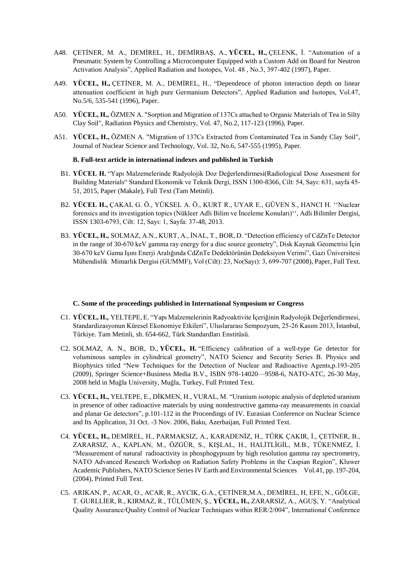- A48. ÇETİNER, M. A., DEMİREL, H., DEMİRBAŞ, A., **YÜCEL, H.,** ÇELENK, İ. "Automation of a Pneumatic System by Controlling a Microcomputer Equipped with a Custom Add on Board for Neutron Activation Analysis", Applied Radiation and Isotopes, Vol. 48 , No.3, 397-402 (1997), Paper.
- A49. **YÜCEL, H.,** ÇETİNER, M. A., DEMİREL, H., "Dependence of photon interaction depth on linear attenuation coefficient in high pure Germanium Detectors", Applied Radiation and Isotopes, Vol.47, No.5/6, 535-541 (1996), Paper.
- A50. **YÜCEL, H.,** ÖZMEN A. "Sorption and Migration of 137Cs attached to Organic Materials of Tea in Silty Clay Soil", Radiation Physics and Chemistry, Vol. 47, No.2, 117-123 (1996), Paper.
- A51. **YÜCEL, H.,** ÖZMEN A. "Migration of 137Cs Extracted from Contaminated Tea in Sandy Clay Soil", Journal of Nuclear Science and Technology, Vol. 32, No.6, 547-555 (1995), Paper.

#### **B. Full-text article in international indexes and published in Turkish**

- B1. **YÜCEL H.** "Yapı Malzemelerinde Radyolojik Doz Değerlendirmesi(Radiological Dose Assesment for Building Materials" Standard Ekonomik ve Teknik Dergi, ISSN 1300-8366, Cilt: 54, Sayı: 631, sayfa 45- 51, 2015, Paper (Makale), Full Text (Tam Metinli).
- B2. **YÜCEL H.,** ÇAKAL G. Ö., YÜKSEL A. Ö., KURT R., UYAR E., GÜVEN S., HANCI H. ''Nuclear forensics and its investigation topics (Nükleer Adli Bilim ve İnceleme Konuları)'', Adli Bilimler Dergisi, ISSN 1303-6793, Cilt: 12, Sayı: 1, Sayfa: 37-48, 2013.
- B3. **YÜCEL, H.,** SOLMAZ, A.N., KURT, A., İNAL, T., BOR, D. "Detection efficiency of CdZnTe Detector in the range of 30-670 keV gamma ray energy for a disc source geometry", Disk Kaynak Geometrisi İçin 30-670 keV Gama Işını Enerji Aralığında CdZnTe Dedektörünün Dedeksiyon Verimi", Gazi Üniversitesi Mühendislik Mimarlık Dergisi (GUMMF), Vol (Cilt): 23, No(Sayı): 3, 699-707 (2008), Paper, Full Text.

#### **C. Some of the proceedings published in International Symposium or Congress**

- C1. **YÜCEL, H.,** YELTEPE, E. "Yapı Malzemelerinin Radyoaktivite İçeriğinin Radyolojik Değerlendirmesi, Standardizasyonun Küresel Ekonomiye Etkileri", Uluslararası Sempozyum, 25-26 Kasım 2013, İstanbul, Türkiye. Tam Metinli, sh. 654-662, Türk Standardları Enstitüsü.
- C2. SOLMAZ, A. N., BOR, D., **YÜCEL, H.** "Efficiency calibration of a well-type Ge detector for voluminous samples in cylindrical geometry", NATO Science and Security Series B. Physics and Biophysics titled "New Techniques for the Detection of Nuclear and Radioactive Agents,p.193-205 (2009), Springer Science+Business Media B.V., ISBN 978-14020—9598-6, NATO-ATC, 26-30 May, 2008 held in Muğla University, Muğla, Turkey, Full Printed Text.
- C3. **YÜCEL, H.,** YELTEPE, E., DİKMEN, H., VURAL, M. "Uranium isotopic analysis of depleted uranium in presence of other radioactive materials by using nondestructive gamma-ray measurements in coaxial and planar Ge detectors", p.101-112 in the Proceedings of IV. Eurasian Conference on Nuclear Science and Its Application, 31 Oct. -3 Nov. 2006, Baku, Azerbaijan, Full Printed Text.
- C4. **YÜCEL, H.,** DEMİREL, H., PARMAKSIZ, A., KARADENİZ, H., TÜRK ÇAKIR, İ., ÇETİNER, B., ZARARSIZ, A., KAPLAN, M., ÖZGÜR, S., KIŞLAL, H., HALİTLİGİL, M.B., TÜKENMEZ, İ. "Measurement of natural radioactivity in phosphogypsum by high resolution gamma ray spectrometry, NATO Advanced Research Workshop on Radiation Safety Problems in the Caspian Region", Kluwer Academic Publishers, NATO Science Series IV Earth and Environmental Sciences Vol.41, pp. 197-204, (2004), Printed Full Text.
- C5. ARIKAN, P., ACAR, O., ACAR, R., AYCIK, G.A., ÇETİNER,M.A., DEMİREL, H, EFE, N., GÖLGE, T. GURLLİER, R., KIRMAZ, R., TÜLÜMEN, Ş., **YÜCEL, H.,** ZARARSIZ, A., AGUŞ, Y. "Analytical Quality Assurance/Quality Control of Nuclear Techniques within RER/2/004", International Conference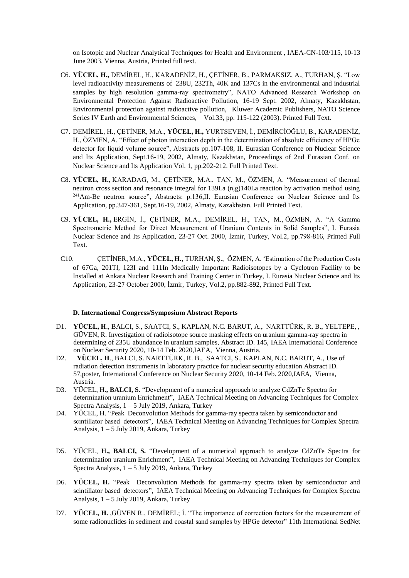on Isotopic and Nuclear Analytical Techniques for Health and Environment , IAEA-CN-103/115, 10-13 June 2003, Vienna, Austria, Printed full text.

- C6. **YÜCEL, H.,** DEMİREL, H., KARADENİZ, H., ÇETİNER, B., PARMAKSIZ, A., TURHAN, Ş. "Low level radioactivity measurements of 238U, 232Th, 40K and 137Cs in the environmental and industrial samples by high resolution gamma-ray spectrometry", NATO Advanced Research Workshop on Environmental Protection Against Radioactive Pollution, 16-19 Sept. 2002, Almaty, Kazakhstan, Environmental protection against radioactive pollution, Kluwer Academic Publishers, NATO Science Series IV Earth and Environmental Sciences, Vol.33, pp. 115-122 (2003). Printed Full Text.
- C7. DEMİREL, H., ÇETİNER, M.A., **YÜCEL, H.,** YURTSEVEN, İ., DEMİRCİOĞLU, B., KARADENİZ, H., ÖZMEN, A. "Effect of photon interaction depth in the determination of absolute efficiency of HPGe detector for liquid volume source", Abstracts pp.107-108, II. Eurasian Conference on Nuclear Science and Its Application, Sept.16-19, 2002, Almaty, Kazakhstan, Proceedings of 2nd Eurasian Conf. on Nuclear Science and Its Application Vol. 1, pp.202-212. Full Printed Text.
- C8. **YÜCEL, H.,** KARADAG, M., ÇETİNER, M.A., TAN, M., ÖZMEN, A. "Measurement of thermal neutron cross section and resonance integral for 139La (n,g)140La reaction by activation method using <sup>241</sup>Am-Be neutron source", Abstracts: p.136,II. Eurasian Conference on Nuclear Science and Its Application, pp.347-361, Sept.16-19, 2002, Almaty, Kazakhstan. Full Printed Text.
- C9. **YÜCEL, H.,** ERGİN, İ., ÇETİNER, M.A., DEMİREL, H., TAN, M., ÖZMEN, A. "A Gamma Spectrometric Method for Direct Measurement of Uranium Contents in Solid Samples", I. Eurasia Nuclear Science and Its Application, 23-27 Oct. 2000, İzmir, Turkey, Vol.2, pp.798-816, Printed Full Text.
- C10. ÇETİNER, M.A., **YÜCEL, H.,** TURHAN, Ş., ÖZMEN, A. 'Estimation of the Production Costs of 67Ga, 201Tl, 123I and 111In Medically Important Radioisotopes by a Cyclotron Facility to be Installed at Ankara Nuclear Research and Training Center in Turkey, I. Eurasia Nuclear Science and Its Application, 23-27 October 2000, İzmir, Turkey, Vol.2, pp.882-892, Printed Full Text.

## **D. International Congress/Symposium Abstract Reports**

- D1. **YÜCEL, H**., BALCI, S., SAATCI, S., KAPLAN, N.C. BARUT, A., NARTTÜRK, R. B., YELTEPE, , GÜVEN, R. Investigation of radioisotope source masking effects on uranium gamma-ray spectra in determining of 235U abundance in uranium samples, Abstract ID. 145, IAEA International Conference on Nuclear Security 2020, 10-14 Feb. 2020,IAEA, Vienna, Austria.
- D2. **YÜCEL, H**., BALCI, S. NARTTÜRK, R. B., SAATCI, S., KAPLAN, N.C. BARUT, A., Use of radiation detection instruments in laboratory practice for nuclear security education Abstract ID. 57,poster, International Conference on Nuclear Security 2020, 10-14 Feb. 2020,IAEA, Vienna, Austria.
- D3. YÜCEL, H**., BALCI, S.** "Development of a numerical approach to analyze CdZnTe Spectra for determination uranium Enrichment", IAEA Technical Meeting on Advancing Techniques for Complex Spectra Analysis,  $1 - 5$  July 2019, Ankara, Turkey
- D4. YÜCEL, H. "Peak Deconvolution Methods for gamma-ray spectra taken by semiconductor and scintillator based detectors", IAEA Technical Meeting on Advancing Techniques for Complex Spectra Analysis,  $1 - 5$  July 2019, Ankara, Turkey
- D5. YÜCEL, H**., BALCI, S.** "Development of a numerical approach to analyze CdZnTe Spectra for determination uranium Enrichment", IAEA Technical Meeting on Advancing Techniques for Complex Spectra Analysis, 1 – 5 July 2019, Ankara, Turkey
- D6. **YÜCEL, H.** "Peak Deconvolution Methods for gamma-ray spectra taken by semiconductor and scintillator based detectors", IAEA Technical Meeting on Advancing Techniques for Complex Spectra Analysis, 1 – 5 July 2019, Ankara, Turkey
- D7. **YÜCEL, H.**, GÜVEN R., DEMIREL; I. "The importance of correction factors for the measurement of some radionuclides in sediment and coastal sand samples by HPGe detector" 11th International SedNet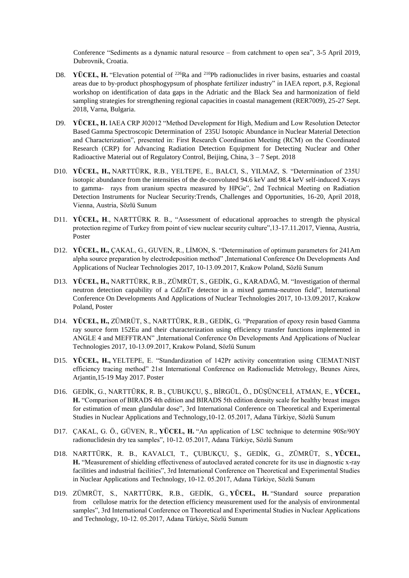Conference "Sediments as a dynamic natural resource – from catchment to open sea", 3-5 April 2019, Dubrovnik, Croatia.

- D8. **YÜCEL, H.** "Elevation potential of <sup>226</sup>Ra and <sup>210</sup>Pb radionuclides in river basins, estuaries and coastal areas due to by-product phosphogypsum of phosphate fertilizer industry" in IAEA report, p.8, Regional workshop on identification of data gaps in the Adriatic and the Black Sea and harmonization of field sampling strategies for strengthening regional capacities in coastal management (RER7009), 25-27 Sept. 2018, Varna, Bulgaria.
- D9. **YÜCEL, H.** IAEA CRP J02012 "Method Development for High, Medium and Low Resolution Detector Based Gamma Spectroscopic Determination of 235U Isotopic Abundance in Nuclear Material Detection and Characterization", presented in: First Research Coordination Meeting (RCM) on the Coordinated Research (CRP) for Advancing Radiation Detection Equipment for Detecting Nuclear and Other Radioactive Material out of Regulatory Control, Beijing, China, 3 – 7 Sept. 2018
- D10. **YÜCEL, H.,** NARTTÜRK, R.B., YELTEPE, E., BALCI, S., YILMAZ, S. "Determination of 235U isotopic abundance from the intensities of the de-convoluted 94.6 keV and 98.4 keV self-induced X-rays to gamma- rays from uranium spectra measured by HPGe", 2nd Technical Meeting on Radiation Detection Instruments for Nuclear Security:Trends, Challenges and Opportunities, 16-20, April 2018, Vienna, Austria, Sözlü Sunum
- D11. **YÜCEL, H**., NARTTÜRK R. B., "Assessment of educational approaches to strength the physical protection regime of Turkey from point of view nuclear security culture",13-17.11.2017, Vienna, Austria, Poster
- D12. **YÜCEL, H.,** ÇAKAL, G., GUVEN, R., LİMON, S. "Determination of optimum parameters for 241Am alpha source preparation by electrodeposition method" ,International Conference On Developments And Applications of Nuclear Technologies 2017, 10-13.09.2017, Krakow Poland, Sözlü Sunum
- D13. **YÜCEL, H.,** NARTTÜRK, R.B., ZÜMRÜT, S., GEDİK, G., KARADAĞ, M. "Investigation of thermal neutron detection capability of a CdZnTe detector in a mixed gamma-neutron field", International Conference On Developments And Applications of Nuclear Technologies 2017, 10-13.09.2017, Krakow Poland, Poster
- D14. **YÜCEL, H.,** ZÜMRÜT, S., NARTTÜRK, R.B., GEDİK, G. "Preparation of epoxy resin based Gamma ray source form 152Eu and their characterization using efficiency transfer functions implemented in ANGLE 4 and MEFFTRAN" ,International Conference On Developments And Applications of Nuclear Technologies 2017, 10-13.09.2017, Krakow Poland, Sözlü Sunum
- D15. **YÜCEL, H.,** YELTEPE, E. "Standardization of 142Pr activity concentration using CIEMAT/NIST efficiency tracing method" 21st International Conference on Radionuclide Metrology, Beunes Aires, Arjantin,15-19 May 2017. Poster
- D16. GEDİK, G., NARTTÜRK, R. B., ÇUBUKÇU, Ş., BİRGÜL, Ö., DÜŞÜNCELİ, ATMAN, E., **YÜCEL, H.** "Comparison of BIRADS 4th edition and BIRADS 5th edition density scale for healthy breast images for estimation of mean glandular dose", 3rd International Conference on Theoretical and Experimental Studies in Nuclear Applications and Technology,10-12. 05.2017, Adana Türkiye, Sözlü Sunum
- D17. ÇAKAL, G. Ö., GÜVEN, R., **YÜCEL, H.** "An application of LSC technique to determine 90Sr/90Y radionuclidesin dry tea samples", 10-12. 05.2017, Adana Türkiye, Sözlü Sunum
- D18. NARTTÜRK, R. B., KAVALCI, T., ÇUBUKÇU, Ş., GEDİK, G., ZÜMRÜT, S., **YÜCEL, H.** "Measurement of shielding effectiveness of autoclaved aerated concrete for its use in diagnostic x-ray facilities and industrial facilities", 3rd International Conference on Theoretical and Experimental Studies in Nuclear Applications and Technology, 10-12. 05.2017, Adana Türkiye, Sözlü Sunum
- D19. ZÜMRÜT, S., NARTTÜRK, R.B., GEDİK, G., **YÜCEL, H.** "Standard source preparation from cellulose matrix for the detection efficiency measurement used for the analysis of environmental samples", 3rd International Conference on Theoretical and Experimental Studies in Nuclear Applications and Technology, 10-12. 05.2017, Adana Türkiye, Sözlü Sunum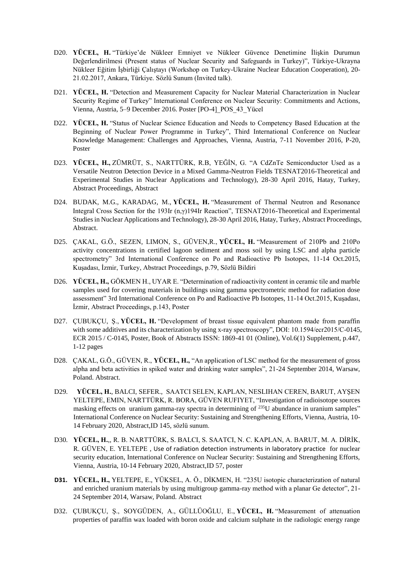- D20. **YÜCEL, H.** "Türkiye'de Nükleer Emniyet ve Nükleer Güvence Denetimine İlişkin Durumun Değerlendirilmesi (Present status of Nuclear Security and Safeguards in Turkey)", Türkiye-Ukrayna Nükleer Eğitim İşbirliği Çalıştayı (Workshop on Turkey-Ukraine Nuclear Education Cooperation), 20- 21.02.2017, Ankara, Türkiye. Sözlü Sunum (Invited talk).
- D21. **YÜCEL, H.** "Detection and Measurement Capacity for Nuclear Material Characterization in Nuclear Security Regime of Turkey" International Conference on Nuclear Security: Commitments and Actions, Vienna, Austria, 5–9 December 2016. Poster [PO-4]\_POS\_43\_Yücel
- D22. **YÜCEL, H.** "Status of Nuclear Science Education and Needs to Competency Based Education at the Beginning of Nuclear Power Programme in Turkey", Third International Conference on Nuclear Knowledge Management: Challenges and Approaches, Vienna, Austria, 7-11 November 2016, P-20, Poster
- D23. **YÜCEL, H.,** ZÜMRÜT, S., NARTTÜRK, R.B, YEĞİN, G. "A CdZnTe Semiconductor Used as a Versatile Neutron Detection Device in a Mixed Gamma-Neutron Fields TESNAT2016-Theoretical and Experimental Studies in Nuclear Applications and Technology), 28-30 April 2016, Hatay, Turkey, Abstract Proceedings, Abstract
- D24. BUDAK, M.G., KARADAG, M., **YÜCEL, H.** "Measurement of Thermal Neutron and Resonance Integral Cross Section for the 193Ir (n,γ)194Ir Reaction", TESNAT2016-Theoretical and Experimental Studies in Nuclear Applications and Technology), 28-30 April 2016, Hatay, Turkey, Abstract Proceedings, Abstract.
- D25. ÇAKAL, G.Ö., SEZEN, LIMON, S., GÜVEN,R., **YÜCEL, H.** "Measurement of 210Pb and 210Po activity concentrations in certified lagoon sediment and moss soil by using LSC and alpha particle spectrometry" 3rd International Conference on Po and Radioactive Pb Isotopes, 11-14 Oct.2015, Kuşadası, İzmir, Turkey, Abstract Proceedings, p.79, Sözlü Bildiri
- D26. **YÜCEL, H.,** GÖKMEN H., UYAR E. "Determination of radioactivity content in ceramic tile and marble samples used for covering materials in buildings using gamma spectrometric method for radiation dose assessment" 3rd International Conference on Po and Radioactive Pb Isotopes, 11-14 Oct.2015, Kuşadası, İzmir, Abstract Proceedings, p.143, Poster
- D27. ÇUBUKÇU, Ş., **YÜCEL, H.** "Development of breast tissue equivalent phantom made from paraffin with some additives and its characterization by using x-ray spectroscopy", DOI: 10.1594/ecr2015/C-0145, ECR 2015 / C-0145, Poster, Book of Abstracts ISSN: 1869-41 01 (Online), Vol.6(1) Supplement, p.447, 1-12 pages
- D28. ÇAKAL, G.Ö., GÜVEN, R., **YÜCEL, H.,** "An application of LSC method for the measurement of gross alpha and beta activities in spiked water and drinking water samples", 21-24 September 2014, Warsaw, Poland. Abstract.
- D29. **YÜCEL, H.**, BALCI, SEFER., SAATCI SELEN, KAPLAN, NESLIHAN CEREN, BARUT, AYŞEN YELTEPE, EMIN, NARTTÜRK, R. BORA, GÜVEN RUFIYET, "Investigation of radioisotope sources masking effects on uranium gamma-ray spectra in determining of <sup>235</sup>U abundance in uranium samples" International Conference on Nuclear Security: Sustaining and Strengthening Efforts, Vienna, Austria, 10- 14 February 2020, Abstract,ID 145, sözlü sunum.
- D30. **YÜCEL, H.**,, R. B. NARTTÜRK, S. BALCI, S. SAATCI, N. C. KAPLAN, A. BARUT, M. A. DİRİK, R. GÜVEN, E. YELTEPE , Use of radiation detection instruments in laboratory practice for nuclear security education, International Conference on Nuclear Security: Sustaining and Strengthening Efforts, Vienna, Austria, 10-14 February 2020, Abstract,ID 57, poster
- **D31. YÜCEL, H.,** YELTEPE, E., YÜKSEL, A. Ö., DİKMEN, H. "235U isotopic characterization of natural and enriched uranium materials by using multigroup gamma-ray method with a planar Ge detector", 21- 24 September 2014, Warsaw, Poland. Abstract
- D32. ÇUBUKÇU, Ş., SOYGÜDEN, A., GÜLLÜOĞLU, E., **YÜCEL, H.** "Measurement of attenuation properties of paraffin wax loaded with boron oxide and calcium sulphate in the radiologic energy range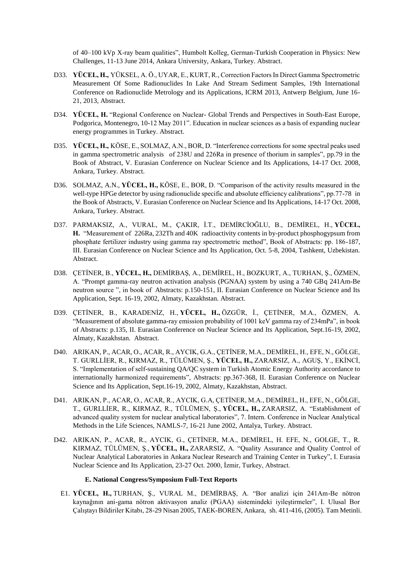of 40–100 kVp X-ray beam qualities", Humbolt Kolleg, German-Turkish Cooperation in Physics: New Challenges, 11-13 June 2014, Ankara University, Ankara, Turkey. Abstract.

- D33. **YÜCEL, H.,** YÜKSEL, A. Ö., UYAR, E., KURT, R., Correction Factors In Direct Gamma Spectrometric Measurement Of Some Radionuclides In Lake And Stream Sediment Samples, 19th International Conference on Radionuclide Metrology and its Applications, ICRM 2013, Antwerp Belgium, June 16- 21, 2013, Abstract.
- D34. **YÜCEL, H.** "Regional Conference on Nuclear- Global Trends and Perspectives in South-East Europe, Podgorica, Montenegro, 10-12 May 2011". Education in nuclear sciences as a basis of expanding nuclear energy programmes in Turkey. Abstract.
- D35. **YÜCEL, H.,** KÖSE, E., SOLMAZ, A.N., BOR, D. "Interference corrections for some spectral peaks used in gamma spectrometric analysis of 238U and 226Ra in presence of thorium in samples", pp.79 in the Book of Abstract, V. Eurasian Conference on Nuclear Science and Its Applications, 14-17 Oct. 2008, Ankara, Turkey. Abstract.
- D36. SOLMAZ, A.N., **YÜCEL, H.,** KÖSE, E., BOR, D. "Comparison of the activity results measured in the well-type HPGe detector by using radionuclide specific and absolute efficiency calibrations", pp.77-78 in the Book of Abstracts, V. Eurasian Conference on Nuclear Science and Its Applications, 14-17 Oct. 2008, Ankara, Turkey. Abstract.
- D37. PARMAKSIZ, A., VURAL, M., ÇAKIR, İ.T., DEMİRCİOĞLU, B., DEMİREL, H., **YÜCEL, H.** "Measurement of 226Ra, 232Th and 40K radioactivity contents in by-product phosphogypsum from phosphate fertilizer industry using gamma ray spectrometric method", Book of Abstracts: pp. 186-187, III. Eurasian Conference on Nuclear Science and Its Application, Oct. 5-8, 2004, Tashkent, Uzbekistan. Abstract.
- D38. ÇETİNER, B., **YÜCEL, H.,** DEMİRBAŞ, A., DEMİREL, H., BOZKURT, A., TURHAN, Ş., ÖZMEN, A. "Prompt gamma-ray neutron activation analysis (PGNAA) system by using a 740 GBq 241Am-Be neutron source ", in book of Abstracts: p.150-151, II. Eurasian Conference on Nuclear Science and Its Application, Sept. 16-19, 2002, Almaty, Kazakhstan. Abstract.
- D39. ÇETİNER, B., KARADENİZ, H., **YÜCEL, H.,** ÖZGÜR, İ., ÇETİNER, M.A., ÖZMEN, A. "Measurement of absolute gamma-ray emission probability of 1001 keV gamma ray of 234mPa", in book of Abstracts: p.135, II. Eurasian Conference on Nuclear Science and Its Application, Sept.16-19, 2002, Almaty, Kazakhstan. Abstract.
- D40. ARIKAN, P., ACAR, O., ACAR, R., AYCIK, G.A., ÇETİNER, M.A., DEMİREL, H., EFE, N., GÖLGE, T. GURLLİER, R., KIRMAZ, R., TÜLÜMEN, Ş., **YÜCEL, H.,** ZARARSIZ, A., AGUŞ, Y., EKİNCİ, S. "Implementation of self-sustaining QA/QC system in Turkish Atomic Energy Authority accordance to internationally harmonized requirements", Abstracts: pp.367-368, II. Eurasian Conference on Nuclear Science and Its Application, Sept.16-19, 2002, Almaty, Kazakhstan, Abstract.
- D41. ARIKAN, P., ACAR, O., ACAR, R., AYCIK, G.A, ÇETİNER, M.A., DEMİREL, H., EFE, N., GÖLGE, T., GURLLİER, R., KIRMAZ, R., TÜLÜMEN, Ş., **YÜCEL, H.,** ZARARSIZ, A. "Establishment of advanced quality system for nuclear analytical laboratories", 7. Intern. Conference in Nuclear Analytical Methods in the Life Sciences, NAMLS-7, 16-21 June 2002, Antalya, Turkey. Abstract.
- D42. ARIKAN, P., ACAR, R., AYCIK, G., ÇETİNER, M.A., DEMİREL, H. EFE, N., GOLGE, T., R. KIRMAZ, TÜLÜMEN, Ş., **YÜCEL, H.,** ZARARSIZ, A. "Quality Assurance and Quality Control of Nuclear Analytical Laboratories in Ankara Nuclear Research and Training Center in Turkey", I. Eurasia Nuclear Science and Its Application, 23-27 Oct. 2000, İzmir, Turkey, Abstract.

### **E. National Congress/Symposium Full-Text Reports**

E1. **YÜCEL, H.,** TURHAN, Ş., VURAL M., DEMİRBAŞ, A. "Bor analizi için 241Am-Be nötron kaynağının ani-gama nötron aktivasyon analiz (PGAA) sistemindeki iyileştirmeler", I. Ulusal Bor Çalıştayı Bildiriler Kitabı, 28-29 Nisan 2005, TAEK-BOREN, Ankara, sh. 411-416, (2005). Tam Metinli.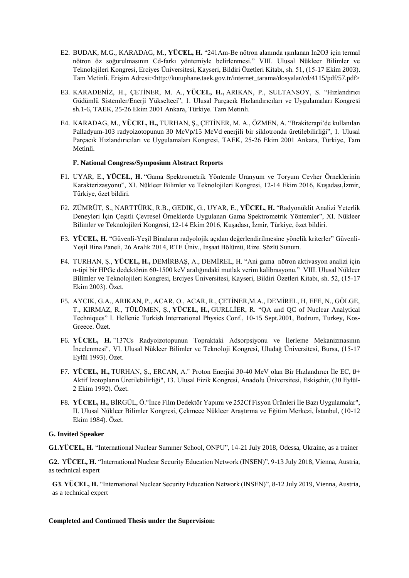- E2. BUDAK, M.G., KARADAG, M., **YÜCEL, H.** "241Am-Be nötron alanında ışınlanan In2O3 için termal nötron öz soğurulmasının Cd-farkı yöntemiyle belirlenmesi." VIII. Ulusal Nükleer Bilimler ve Teknolojileri Kongresi, Erciyes Üniversitesi, Kayseri, Bildiri Özetleri Kitabı, sh. 51, (15-17 Ekim 2003). Tam Metinli. Erişim Adresi:<http://kutuphane.taek.gov.tr/internet\_tarama/dosyalar/cd/4115/pdf/57.pdf>
- E3. KARADENİZ, H., ÇETİNER, M. A., **YÜCEL, H.,** ARIKAN, P., SULTANSOY, S. "Hızlandırıcı Güdümlü Sistemler/Enerji Yükselteci", 1. Ulusal Parçacık Hızlandırıcıları ve Uygulamaları Kongresi sh.1-6, TAEK, 25-26 Ekim 2001 Ankara, Türkiye. Tam Metinli.
- E4. KARADAG, M., **YÜCEL, H.,** TURHAN, Ş., ÇETİNER, M. A., ÖZMEN, A. "Brakiterapi'de kullanılan Palladyum-103 radyoizotopunun 30 MeVp/15 MeVd enerjili bir siklotronda üretilebilirliği", 1. Ulusal Parçacık Hızlandırıcıları ve Uygulamaları Kongresi, TAEK, 25-26 Ekim 2001 Ankara, Türkiye, Tam Metinli.

### **F. National Congress/Symposium Abstract Reports**

- F1. UYAR, E., **YÜCEL, H.** "Gama Spektrometrik Yöntemle Uranyum ve Toryum Cevher Örneklerinin Karakterizasyonu", XI. Nükleer Bilimler ve Teknolojileri Kongresi, 12-14 Ekim 2016, Kuşadası,İzmir, Türkiye, özet bildiri.
- F2. ZÜMRÜT, S., NARTTÜRK, R.B., GEDIK, G., UYAR, E., **YÜCEL, H.** "Radyonüklit Analizi Yeterlik Deneyleri İçin Çeşitli Çevresel Örneklerde Uygulanan Gama Spektrometrik Yöntemler", XI. Nükleer Bilimler ve Teknolojileri Kongresi, 12-14 Ekim 2016, Kuşadası, İzmir, Türkiye, özet bildiri.
- F3. **YÜCEL, H.** "Güvenli-Yeşil Binaların radyolojik açıdan değerlendirilmesine yönelik kriterler" Güvenli-Yeşil Bina Paneli, 26 Aralık 2014, RTE Üniv., İnşaat Bölümü, Rize. Sözlü Sunum.
- F4. TURHAN, Ş., **YÜCEL, H.,** DEMİRBAŞ, A., DEMİREL, H. "Ani gama nötron aktivasyon analizi için n-tipi bir HPGe dedektörün 60-1500 keV aralığındaki mutlak verim kalibrasyonu." VIII. Ulusal Nükleer Bilimler ve Teknolojileri Kongresi, Erciyes Üniversitesi, Kayseri, Bildiri Özetleri Kitabı, sh. 52, (15-17 Ekim 2003). Özet.
- F5. AYCIK, G.A., ARIKAN, P., ACAR, O., ACAR, R., ÇETİNER,M.A., DEMİREL, H, EFE, N., GÖLGE, T., KIRMAZ, R., TÜLÜMEN, Ş., **YÜCEL, H.,** GURLLİER, R. "QA and QC of Nuclear Analytical Techniques" I. Hellenic Turkish International Physics Conf., 10-15 Sept.2001, Bodrum, Turkey, Kos-Greece. Özet.
- F6. **YÜCEL, H.** "137Cs Radyoizotopunun Topraktaki Adsorpsiyonu ve İlerleme Mekanizmasının İncelenmesi", VI. Ulusal Nükleer Bilimler ve Teknoloji Kongresi, Uludağ Üniversitesi, Bursa, (15-17 Eylül 1993). Özet.
- F7. **YÜCEL, H.,** TURHAN, Ş., ERCAN, A." Proton Enerjisi 30-40 MeV olan Bir Hızlandırıcı İle EC, ß+ Aktif İzotopların Üretilebilirliği", 13. Ulusal Fizik Kongresi, Anadolu Üniversitesi, Eskişehir, (30 Eylül-2 Ekim 1992). Özet.
- F8. **YÜCEL, H.,** BİRGÜL, Ö."İnce Film Dedektör Yapımı ve 252Cf Fisyon Ürünleri İle Bazı Uygulamalar", II. Ulusal Nükleer Bilimler Kongresi, Çekmece Nükleer Araştırma ve Eğitim Merkezi, İstanbul, (10-12 Ekim 1984). Özet.

### **G. Invited Speaker**

**G1.YÜCEL, H.** "International Nuclear Summer School, ONPU", 14-21 July 2018, Odessa, Ukraine, as a trainer

**G2.** Y**ÜCEL, H.** "International Nuclear Security Education Network (INSEN)", 9-13 July 2018, Vienna, Austria, as technical expert

**G3**. **YÜCEL, H.** "International Nuclear Security Education Network (INSEN)", 8-12 July 2019, Vienna, Austria, as a technical expert

### **Completed and Continued Thesis under the Supervision:**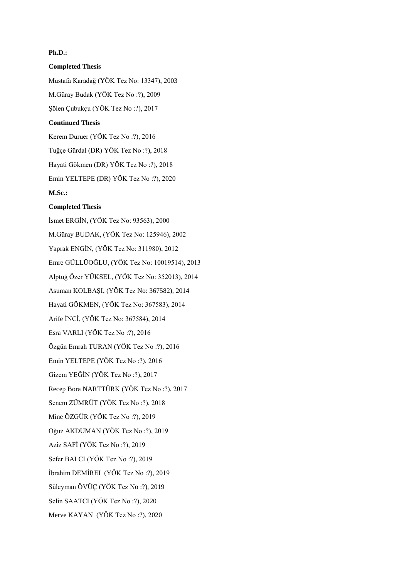## **Ph.D.:**

**Completed Thesis** Mustafa Karadağ (YÖK Tez No: 13347), 2003 M.Güray Budak (YÖK Tez No :?), 2009 Şölen Çubukçu (YÖK Tez No :?), 2017 **Continued Thesis**  Kerem Duruer (YÖK Tez No :?), 2016

Tuğçe Gürdal (DR) YÖK Tez No :?), 2018 Hayati Gökmen (DR) YÖK Tez No :?), 2018 Emin YELTEPE (DR) YÖK Tez No :?), 2020 **M.Sc.:**

### **Completed Thesis**

İsmet ERGİN, (YÖK Tez No: 93563), 2000 M.Güray BUDAK, (YÖK Tez No: 125946), 2002 Yaprak ENGİN, (YÖK Tez No: 311980), 2012 Emre GÜLLÜOĞLU, (YÖK Tez No: 10019514), 2013 Alptuğ Özer YÜKSEL, (YÖK Tez No: 352013), 2014 Asuman KOLBAŞI, (YÖK Tez No: 367582), 2014 Hayati GÖKMEN, (YÖK Tez No: 367583), 2014 Arife İNCİ, (YÖK Tez No: 367584), 2014 Esra VARLI (YÖK Tez No :?), 2016 Özgün Emrah TURAN (YÖK Tez No :?), 2016 Emin YELTEPE (YÖK Tez No :?), 2016 Gizem YEĞİN (YÖK Tez No :?), 2017 Recep Bora NARTTÜRK (YÖK Tez No :?), 2017 Senem ZÜMRÜT (YÖK Tez No :?), 2018 Mine ÖZGÜR (YÖK Tez No :?), 2019 Oğuz AKDUMAN (YÖK Tez No :?), 2019 Aziz SAFİ (YÖK Tez No :?), 2019 Sefer BALCI (YÖK Tez No :?), 2019 İbrahim DEMİREL (YÖK Tez No :?), 2019 Süleyman ÖVÜÇ (YÖK Tez No :?), 2019 Selin SAATCI (YÖK Tez No :?), 2020 Merve KAYAN (YÖK Tez No :?), 2020